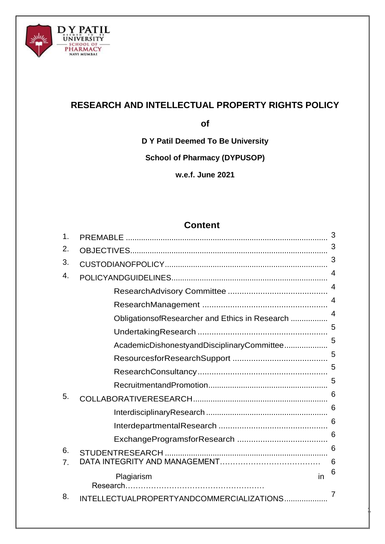

# **RESEARCH AND INTELLECTUAL PROPERTY RIGHTS POLICY**

**of**

**D Y Patil Deemed To Be University**

**School of Pharmacy (DYPUSOP)**

**w.e.f. June 2021**

## **Content**

| 1. |                                                | 3              |  |  |
|----|------------------------------------------------|----------------|--|--|
| 2. |                                                | 3              |  |  |
| 3. | 3                                              |                |  |  |
| 4. |                                                | $\overline{4}$ |  |  |
|    |                                                | $\overline{4}$ |  |  |
|    |                                                | $\overline{4}$ |  |  |
|    | ObligationsofResearcher and Ethics in Research | $\overline{4}$ |  |  |
|    |                                                | 5              |  |  |
|    | AcademicDishonestyandDisciplinaryCommittee     | 5              |  |  |
|    |                                                | 5              |  |  |
|    |                                                | 5              |  |  |
|    |                                                | 5              |  |  |
| 5. |                                                | 6              |  |  |
|    |                                                | 6              |  |  |
|    |                                                | 6              |  |  |
|    |                                                | 6              |  |  |
| 6. |                                                | 6              |  |  |
| 7. |                                                | 6              |  |  |
|    | Plagiarism<br>in                               | 6              |  |  |
| 8. | INTELLECTUALPROPERTYANDCOMMERCIALIZATIONS      | 7              |  |  |

1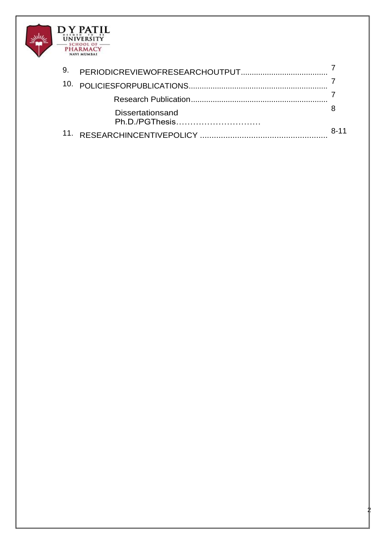

| 9. |                                           |          |
|----|-------------------------------------------|----------|
|    |                                           |          |
|    |                                           |          |
|    | <b>Dissertationsand</b><br>Ph.D./PGThesis |          |
|    | 11. RESEARCHINCENTIVEPOLICY               | $8 - 11$ |

2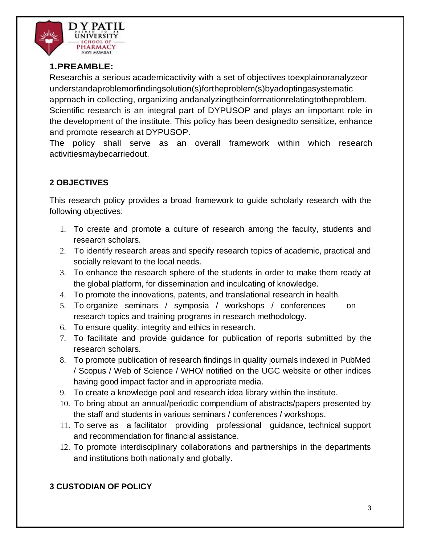

## **1.PREAMBLE:**

Researchis a serious academicactivity with a set of objectives toexplainoranalyzeor understandaproblemorfindingsolution(s)fortheproblem(s)byadoptingasystematic approach in collecting, organizing andanalyzingtheinformationrelatingtotheproblem. Scientific research is an integral part of DYPUSOP and plays an important role in the development of the institute. This policy has been designedto sensitize, enhance and promote research at DYPUSOP.

The policy shall serve as an overall framework within which research activitiesmaybecarriedout.

## **2 OBJECTIVES**

This research policy provides a broad framework to guide scholarly research with the following objectives:

- <span id="page-2-0"></span>1. To create and promote a culture of research among the faculty, students and research scholars.
- 2. To identify research areas and specify research topics of academic, practical and socially relevant to the local needs.
- 3. To enhance the research sphere of the students in order to make them ready at the global platform, for dissemination and inculcating of knowledge.
- 4. To promote the innovations, patents, and translational research in health.
- 5. To organize seminars / symposia / workshops / conferences on research topics and training programs in research methodology.
- 6. To ensure quality, integrity and ethics in research.
- 7. To facilitate and provide guidance for publication of reports submitted by the research scholars.
- 8. To promote publication of research findings in quality journals indexed in PubMed / Scopus / Web of Science / WHO/ notified on the UGC website or other indices having good impact factor and in appropriate media.
- 9. To create a knowledge pool and research idea library within the institute.
- 10. To bring about an annual/periodic compendium of abstracts/papers presented by the staff and students in various seminars / conferences / workshops.
- 11. To serve as a facilitator providing professional guidance, technical support and recommendation for financial assistance.
- 12. To promote interdisciplinary collaborations and partnerships in the departments and institutions both nationally and globally.

## <span id="page-2-1"></span>**3 CUSTODIAN OF POLICY**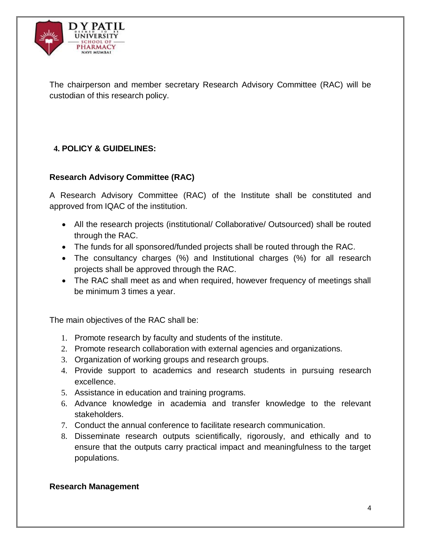

The chairperson and member secretary Research Advisory Committee (RAC) will be custodian of this research policy.

## **4. POLICY & GUIDELINES:**

### **Research Advisory Committee (RAC)**

A Research Advisory Committee (RAC) of the Institute shall be constituted and approved from IQAC of the institution.

- All the research projects (institutional/ Collaborative/ Outsourced) shall be routed through the RAC.
- The funds for all sponsored/funded projects shall be routed through the RAC.
- The consultancy charges (%) and Institutional charges (%) for all research projects shall be approved through the RAC.
- The RAC shall meet as and when required, however frequency of meetings shall be minimum 3 times a year.

The main objectives of the RAC shall be:

- 1. Promote research by faculty and students of the institute.
- 2. Promote research collaboration with external agencies and organizations.
- 3. Organization of working groups and research groups.
- 4. Provide support to academics and research students in pursuing research excellence.
- 5. Assistance in education and training programs.
- 6. Advance knowledge in academia and transfer knowledge to the relevant stakeholders.
- 7. Conduct the annual conference to facilitate research communication.
- 8. Disseminate research outputs scientifically, rigorously, and ethically and to ensure that the outputs carry practical impact and meaningfulness to the target populations.

#### **Research Management**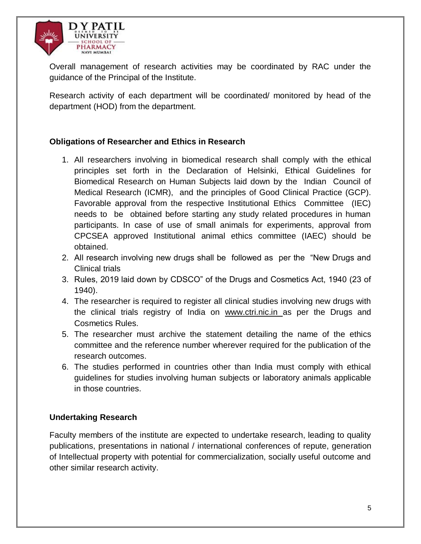

Overall management of research activities may be coordinated by RAC under the guidance of the Principal of the Institute.

Research activity of each department will be coordinated/ monitored by head of the department (HOD) from the department.

#### **Obligations of Researcher and Ethics in Research**

- 1. All researchers involving in biomedical research shall comply with the ethical principles set forth in the Declaration of Helsinki, Ethical Guidelines for Biomedical Research on Human Subjects laid down by the Indian Council of Medical Research (ICMR), and the principles of Good Clinical Practice (GCP). Favorable approval from the respective Institutional Ethics Committee (IEC) needs to be obtained before starting any study related procedures in human participants. In case of use of small animals for experiments, approval from CPCSEA approved Institutional animal ethics committee (IAEC) should be obtained.
- 2. All research involving new drugs shall be followed as per the "New Drugs and Clinical trials
- 3. Rules, 2019 laid down by CDSCO" of the Drugs and Cosmetics Act, 1940 (23 of 1940).
- 4. The researcher is required to register all clinical studies involving new drugs with the clinical trials registry of India on [www.ctri.nic.in a](http://www.ctri.nic.in/)s per the Drugs and Cosmetics Rules.
- 5. The researcher must archive the statement detailing the name of the ethics committee and the reference number wherever required for the publication of the research outcomes.
- 6. The studies performed in countries other than India must comply with ethical guidelines for studies involving human subjects or laboratory animals applicable in those countries.

#### **Undertaking Research**

Faculty members of the institute are expected to undertake research, leading to quality publications, presentations in national / international conferences of repute, generation of Intellectual property with potential for commercialization, socially useful outcome and other similar research activity.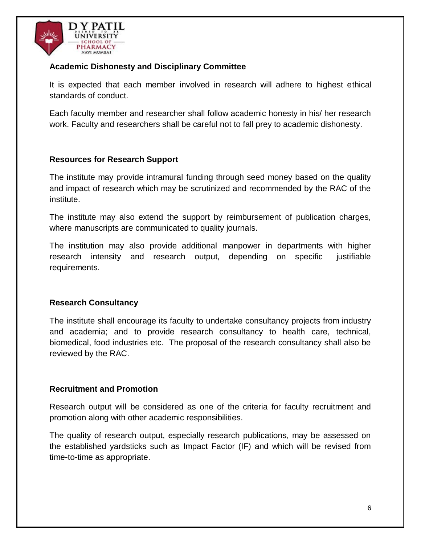

### **Academic Dishonesty and Disciplinary Committee**

It is expected that each member involved in research will adhere to highest ethical standards of conduct.

Each faculty member and researcher shall follow academic honesty in his/ her research work. Faculty and researchers shall be careful not to fall prey to academic dishonesty.

#### **Resources for Research Support**

The institute may provide intramural funding through seed money based on the quality and impact of research which may be scrutinized and recommended by the RAC of the institute.

The institute may also extend the support by reimbursement of publication charges, where manuscripts are communicated to quality journals.

The institution may also provide additional manpower in departments with higher research intensity and research output, depending on specific justifiable requirements.

#### **Research Consultancy**

The institute shall encourage its faculty to undertake consultancy projects from industry and academia; and to provide research consultancy to health care, technical, biomedical, food industries etc. The proposal of the research consultancy shall also be reviewed by the RAC.

#### **Recruitment and Promotion**

Research output will be considered as one of the criteria for faculty recruitment and promotion along with other academic responsibilities.

The quality of research output, especially research publications, may be assessed on the established yardsticks such as Impact Factor (IF) and which will be revised from time-to-time as appropriate.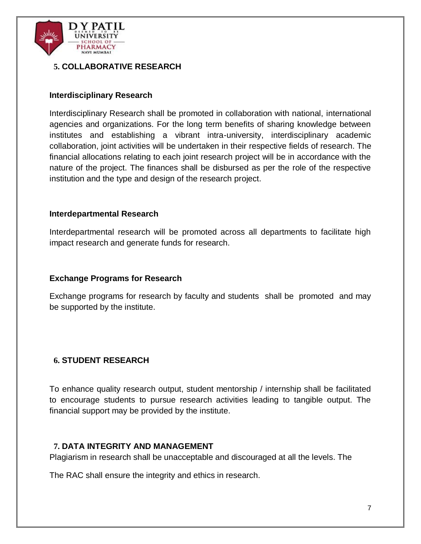

## **5. COLLABORATIVE RESEARCH**

#### <span id="page-6-0"></span>**Interdisciplinary Research**

Interdisciplinary Research shall be promoted in collaboration with national, international agencies and organizations. For the long term benefits of sharing knowledge between institutes and establishing a vibrant intra-university, interdisciplinary academic collaboration, joint activities will be undertaken in their respective fields of research. The financial allocations relating to each joint research project will be in accordance with the nature of the project. The finances shall be disbursed as per the role of the respective institution and the type and design of the research project.

#### **Interdepartmental Research**

Interdepartmental research will be promoted across all departments to facilitate high impact research and generate funds for research.

#### **Exchange Programs for Research**

Exchange programs for research by faculty and students shall be promoted and may be supported by the institute.

#### **6. STUDENT RESEARCH**

<span id="page-6-1"></span>To enhance quality research output, student mentorship / internship shall be facilitated to encourage students to pursue research activities leading to tangible output. The financial support may be provided by the institute.

#### **7. DATA INTEGRITY AND MANAGEMENT**

Plagiarism in research shall be unacceptable and discouraged at all the levels. The

The RAC shall ensure the integrity and ethics in research.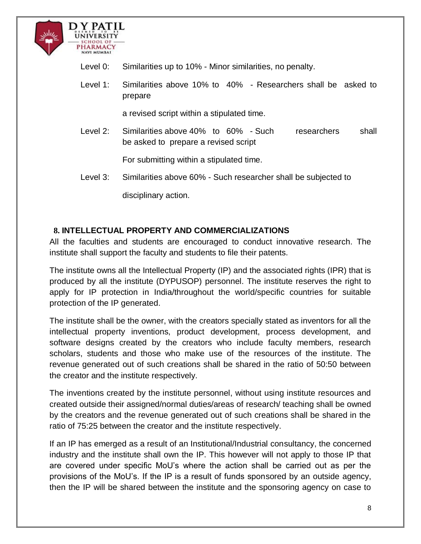

- Level 0: Similarities up to 10% Minor similarities, no penalty.
- Level 1: Similarities above 10% to 40% Researchers shall be asked to prepare

a revised script within a stipulated time.

Level 2: Similarities above 40% to 60% - Such researchers shall be asked to prepare a revised script

For submitting within a stipulated time.

Level 3: Similarities above 60% - Such researcher shall be subjected to

disciplinary action.

#### **8. INTELLECTUAL PROPERTY AND COMMERCIALIZATIONS**

<span id="page-7-0"></span>All the faculties and students are encouraged to conduct innovative research. The institute shall support the faculty and students to file their patents.

The institute owns all the Intellectual Property (IP) and the associated rights (IPR) that is produced by all the institute (DYPUSOP) personnel. The institute reserves the right to apply for IP protection in India/throughout the world/specific countries for suitable protection of the IP generated.

The institute shall be the owner, with the creators specially stated as inventors for all the intellectual property inventions, product development, process development, and software designs created by the creators who include faculty members, research scholars, students and those who make use of the resources of the institute. The revenue generated out of such creations shall be shared in the ratio of 50:50 between the creator and the institute respectively.

The inventions created by the institute personnel, without using institute resources and created outside their assigned/normal duties/areas of research/ teaching shall be owned by the creators and the revenue generated out of such creations shall be shared in the ratio of 75:25 between the creator and the institute respectively.

If an IP has emerged as a result of an Institutional/Industrial consultancy, the concerned industry and the institute shall own the IP. This however will not apply to those IP that are covered under specific MoU's where the action shall be carried out as per the provisions of the MoU's. If the IP is a result of funds sponsored by an outside agency, then the IP will be shared between the institute and the sponsoring agency on case to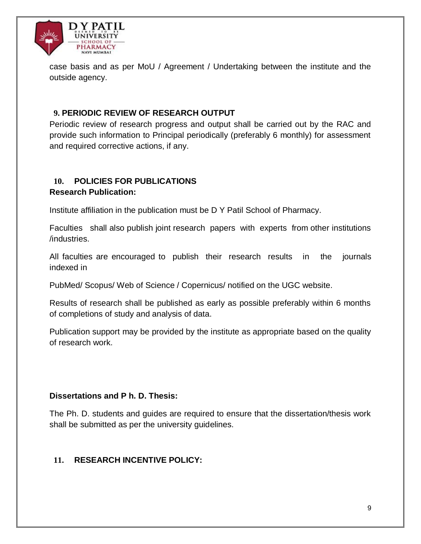

case basis and as per MoU / Agreement / Undertaking between the institute and the outside agency.

#### **9. PERIODIC REVIEW OF RESEARCH OUTPUT**

<span id="page-8-0"></span>Periodic review of research progress and output shall be carried out by the RAC and provide such information to Principal periodically (preferably 6 monthly) for assessment and required corrective actions, if any.

#### **10. POLICIES FOR PUBLICATIONS Research Publication:**

<span id="page-8-1"></span>Institute affiliation in the publication must be D Y Patil School of Pharmacy.

Faculties shall also publish joint research papers with experts from other institutions /industries.

All faculties are encouraged to publish their research results in the journals indexed in

PubMed/ Scopus/ Web of Science / Copernicus/ notified on the UGC website.

Results of research shall be published as early as possible preferably within 6 months of completions of study and analysis of data.

Publication support may be provided by the institute as appropriate based on the quality of research work.

#### **Dissertations and P h. D. Thesis:**

The Ph. D. students and guides are required to ensure that the dissertation/thesis work shall be submitted as per the university guidelines.

#### **11. RESEARCH INCENTIVE POLICY:**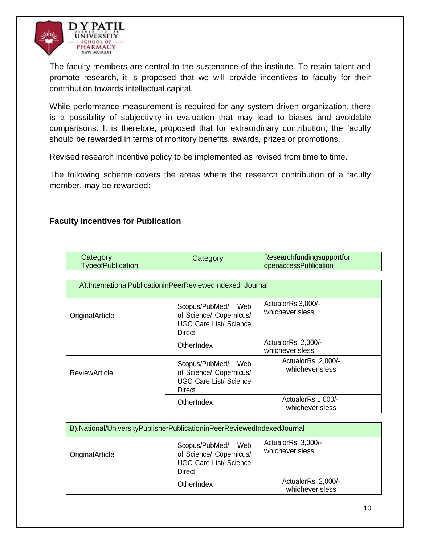

The faculty members are central to the sustenance of the institute. To retain talent and promote research, it is proposed that we will provide incentives to faculty for their contribution towards intellectual capital.

While performance measurement is required for any system driven organization, there is a possibility of subjectivity in evaluation that may lead to biases and avoidable comparisons. It is therefore, proposed that for extraordinary contribution, the faculty should be rewarded in terms of monitory benefits, awards, prizes or promotions.

Revised research incentive policy to be implemented as revised from time to time.

The following scheme covers the areas where the research contribution of a faculty member, may be rewarded:

#### **Faculty Incentives for Publication**

| Category<br><b>TypeofPublication</b> | Category | Researchfundingsupportfor<br>openaccessPublication |
|--------------------------------------|----------|----------------------------------------------------|
|--------------------------------------|----------|----------------------------------------------------|

| A).InternationalPublicationinPeerReviewedIndexed Journal |                                                                                              |                                        |  |  |  |  |
|----------------------------------------------------------|----------------------------------------------------------------------------------------------|----------------------------------------|--|--|--|--|
| OriginalArticle                                          | Web<br>Scopus/PubMed/<br>of Science/ Copernicus/<br><b>UGC Care List/ Sciencel</b><br>Direct | ActualorRs.3,000/-<br>whicheverisless  |  |  |  |  |
|                                                          | OtherIndex                                                                                   | ActualorRs. 2,000/-<br>whicheverisless |  |  |  |  |
| ReviewArticle                                            | Web<br>Scopus/PubMed/<br>of Science/ Copernicus/<br><b>UGC Care List/ Science</b><br>Direct  | ActualorRs. 2,000/-<br>whicheverisless |  |  |  |  |
|                                                          | OtherIndex                                                                                   | ActualorRs.1,000/-<br>whicheverisless  |  |  |  |  |

| B).National/UniversityPublisherPublicationinPeerReviewedIndexedJournal |                                                                                             |                                        |  |  |  |
|------------------------------------------------------------------------|---------------------------------------------------------------------------------------------|----------------------------------------|--|--|--|
| OriginalArticle                                                        | Web<br>Scopus/PubMed/<br>of Science/ Copernicus/<br>UGC Care List/ Science<br><b>Direct</b> | ActualorRs. 3,000/-<br>whicheverisless |  |  |  |
|                                                                        | OtherIndex                                                                                  | ActualorRs. 2,000/-<br>whicheverisless |  |  |  |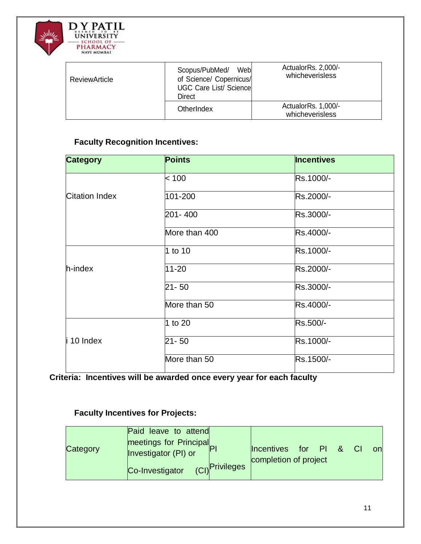

| <b>ReviewArticle</b> | Scopus/PubMed/<br>Web<br>of Science/ Copernicus/<br><b>UGC Care List/ Sciencel</b><br>Direct | ActualorRs. 2,000/-<br>whicheverisless |  |  |
|----------------------|----------------------------------------------------------------------------------------------|----------------------------------------|--|--|
|                      | OtherIndex                                                                                   | ActualorRs. 1,000/-<br>whicheverisless |  |  |

## **Faculty Recognition Incentives:**

| <b>Category</b>       | <b>Points</b> | <b>Incentives</b> |
|-----------------------|---------------|-------------------|
|                       | < 100         | Rs.1000/-         |
| <b>Citation Index</b> | 101-200       | Rs.2000/-         |
|                       | 201-400       | Rs.3000/-         |
|                       | More than 400 | Rs.4000/-         |
|                       | 1 to 10       | Rs.1000/-         |
| h-index               | $11 - 20$     | Rs.2000/-         |
|                       | $21 - 50$     | Rs.3000/-         |
|                       | More than 50  | Rs.4000/-         |
|                       | 1 to 20       | Rs.500/-          |
| i 10 Index            | $21 - 50$     | Rs.1000/-         |
|                       | More than 50  | Rs.1500/-         |

**Criteria: Incentives will be awarded once every year for each faculty**

### **Faculty Incentives for Projects:**

| Category | Paid leave to attend<br>meetings for Principal<br>Investigator (PI) or<br>Co-Investigator | (CI) <sup>Privileges</sup> | Incentives for PI & CI<br>completion of project |  |  |  |  | onl |
|----------|-------------------------------------------------------------------------------------------|----------------------------|-------------------------------------------------|--|--|--|--|-----|
|----------|-------------------------------------------------------------------------------------------|----------------------------|-------------------------------------------------|--|--|--|--|-----|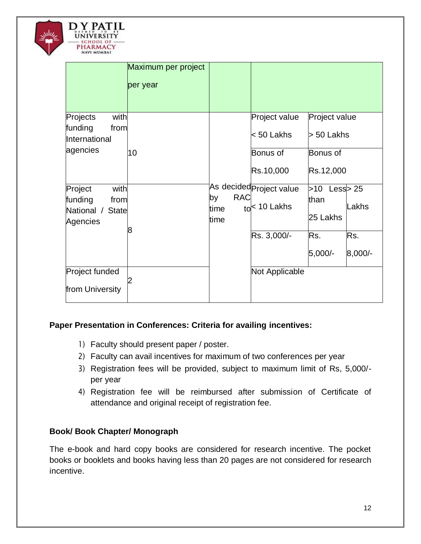

|                                                                              | Maximum per project<br>per year |                                  |                                                |                                        |                  |
|------------------------------------------------------------------------------|---------------------------------|----------------------------------|------------------------------------------------|----------------------------------------|------------------|
| Projects<br>with<br>funding<br>from<br>International                         |                                 |                                  | Project value<br>< 50 Lakhs                    | Project value<br>$> 50$ Lakhs          |                  |
| agencies                                                                     | 10                              |                                  | Bonus of                                       | Bonus of                               |                  |
|                                                                              |                                 |                                  | Rs.10,000                                      | Rs.12,000                              |                  |
| with<br>Project<br>funding<br>from<br>National /<br><b>State</b><br>Agencies | 8                               | <b>RAC</b><br>by<br>time<br>time | As decided <b>Project value</b><br>to<10 Lakhs | >10<br>Less $> 25$<br>than<br>25 Lakhs | Lakhs            |
|                                                                              |                                 |                                  | Rs. 3,000/-                                    | Rs.<br>$5,000/-$                       | Rs.<br>$8,000/-$ |
| Project funded<br>from University                                            |                                 |                                  | Not Applicable                                 |                                        |                  |

#### **Paper Presentation in Conferences: Criteria for availing incentives:**

- 1) Faculty should present paper / poster.
- 2) Faculty can avail incentives for maximum of two conferences per year
- 3) Registration fees will be provided, subject to maximum limit of Rs, 5,000/ per year
- 4) Registration fee will be reimbursed after submission of Certificate of attendance and original receipt of registration fee.

#### **Book/ Book Chapter/ Monograph**

The e-book and hard copy books are considered for research incentive. The pocket books or booklets and books having less than 20 pages are not considered for research incentive.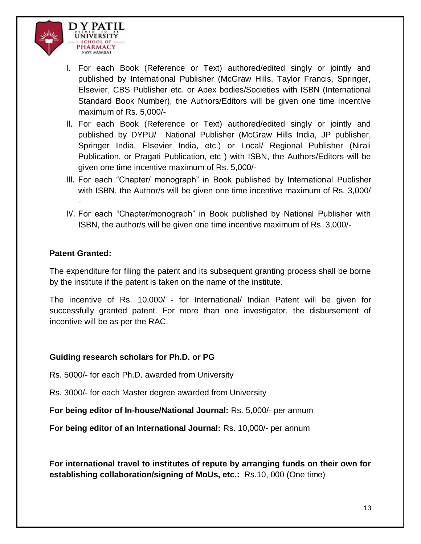

- I. For each Book (Reference or Text) authored/edited singly or jointly and published by International Publisher (McGraw Hills, Taylor Francis, Springer, Elsevier, CBS Publisher etc. or Apex bodies/Societies with ISBN (International Standard Book Number), the Authors/Editors will be given one time incentive maximum of Rs. 5,000/-
- II. For each Book (Reference or Text) authored/edited singly or jointly and published by DYPU/ National Publisher (McGraw Hills India, JP publisher, Springer India, Elsevier India, etc.) or Local/ Regional Publisher (Nirali Publication, or Pragati Publication, etc ) with ISBN, the Authors/Editors will be given one time incentive maximum of Rs. 5,000/-
- III. For each "Chapter/ monograph" in Book published by International Publisher with ISBN, the Author/s will be given one time incentive maximum of Rs. 3,000/ -
- IV. For each "Chapter/monograph" in Book published by National Publisher with ISBN, the author/s will be given one time incentive maximum of Rs. 3,000/-

#### **Patent Granted:**

The expenditure for filing the patent and its subsequent granting process shall be borne by the institute if the patent is taken on the name of the institute.

The incentive of Rs. 10,000/ - for International/ Indian Patent will be given for successfully granted patent. For more than one investigator, the disbursement of incentive will be as per the RAC.

#### **Guiding research scholars for Ph.D. or PG**

- Rs. 5000/- for each Ph.D. awarded from University
- Rs. 3000/- for each Master degree awarded from University

**For being editor of In-house/National Journal:** Rs. 5,000/- per annum

**For being editor of an International Journal:** Rs. 10,000/- per annum

**For international travel to institutes of repute by arranging funds on their own for establishing collaboration/signing of MoUs, etc.:** Rs.10, 000 (One time)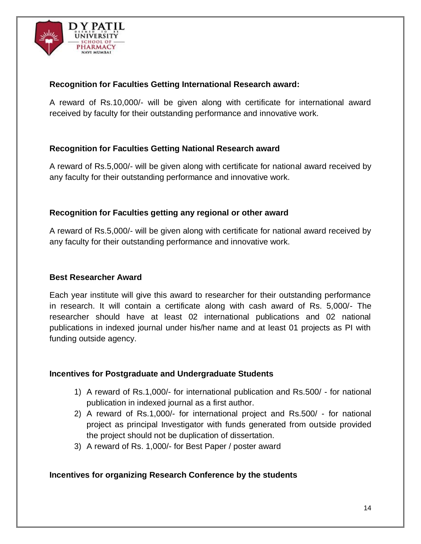

#### **Recognition for Faculties Getting International Research award:**

A reward of Rs.10,000/- will be given along with certificate for international award received by faculty for their outstanding performance and innovative work.

### **Recognition for Faculties Getting National Research award**

A reward of Rs.5,000/- will be given along with certificate for national award received by any faculty for their outstanding performance and innovative work.

#### **Recognition for Faculties getting any regional or other award**

A reward of Rs.5,000/- will be given along with certificate for national award received by any faculty for their outstanding performance and innovative work.

#### **Best Researcher Award**

Each year institute will give this award to researcher for their outstanding performance in research. It will contain a certificate along with cash award of Rs. 5,000/- The researcher should have at least 02 international publications and 02 national publications in indexed journal under his/her name and at least 01 projects as PI with funding outside agency.

#### **Incentives for Postgraduate and Undergraduate Students**

- 1) A reward of Rs.1,000/- for international publication and Rs.500/ for national publication in indexed journal as a first author.
- 2) A reward of Rs.1,000/- for international project and Rs.500/ for national project as principal Investigator with funds generated from outside provided the project should not be duplication of dissertation.
- 3) A reward of Rs. 1,000/- for Best Paper / poster award

#### **Incentives for organizing Research Conference by the students**